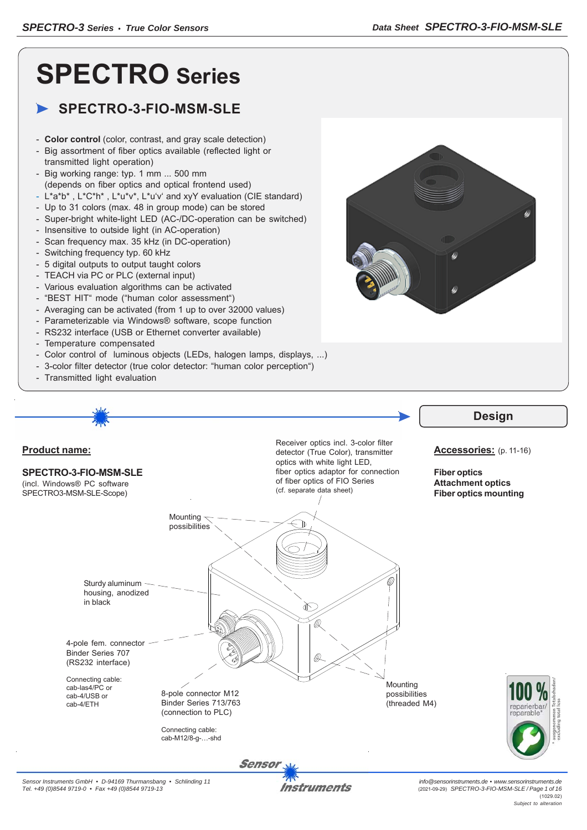# **SPECTRO Series**

### **SPECTRO-3-FIO-MSM-SLE**

- **Color control** (color, contrast, and gray scale detection)
- Big assortment of fiber optics available (reflected light or transmitted light operation)
- Big working range: typ. 1 mm ... 500 mm (depends on fiber optics and optical frontend used)
- L\*a\*b\* , L\*C\*h\* , L\*u\*v\*, L\*u'v' and xyY evaluation (CIE standard)
- Up to 31 colors (max. 48 in group mode) can be stored
- Super-bright white-light LED (AC-/DC-operation can be switched)
- Insensitive to outside light (in AC-operation)
- Scan frequency max. 35 kHz (in DC-operation)
- Switching frequency typ. 60 kHz
- 5 digital outputs to output taught colors
- TEACH via PC or PLC (external input)
- Various evaluation algorithms can be activated
- "BEST HIT" mode ("human color assessment")
- Averaging can be activated (from 1 up to over 32000 values)
- Parameterizable via Windows® software, scope function
- RS232 interface (USB or Ethernet converter available)
- Temperature compensated
- Color control of luminous objects (LEDs, halogen lamps, displays, ...)
- 3-color filter detector (true color detector: "human color perception")
- Transmitted light evaluation



#### **Product name: SPECTRO-3-FIO-MSM-SLE** (incl. Windows® PC software SPECTRO3-MSM-SLE-Scope) optics with white light LED, of fiber optics of FIO Series (cf. separate data sheet) Mounting  $\prec$ possibilities Sturdy aluminum housing, anodized in black

Receiver optics incl. 3-color filter detector (True Color), transmitter fiber optics adaptor for connection

## **Design**

#### **Accessories:** (p. 11-16)

**Fiber optics Attachment optics Fiber optics mounting**

4-pole fem. connector Binder Series 707 (RS232 interface)

Connecting cable: cab-las4/PC or cab-4/USB or cab-4/ETH

Binder Series 713/763 (connection to PLC)

8-pole connector M12

Connecting cable: cab-M12/8-g-…-shd Mounting possibilities (threaded M4)



Instruments

**Sensor**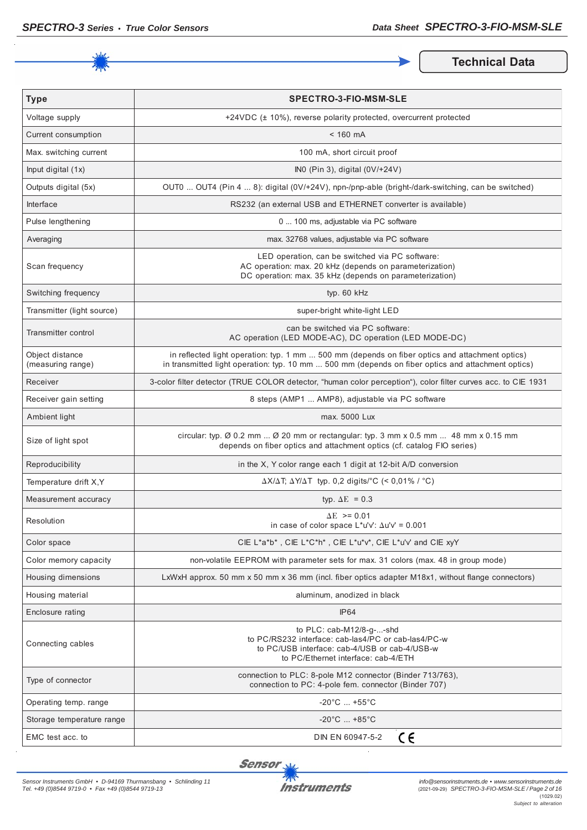

**Technical Data** 

| <b>Type</b>                          | <b>SPECTRO-3-FIO-MSM-SLE</b>                                                                                                                                                                          |  |
|--------------------------------------|-------------------------------------------------------------------------------------------------------------------------------------------------------------------------------------------------------|--|
| Voltage supply                       | +24VDC (± 10%), reverse polarity protected, overcurrent protected                                                                                                                                     |  |
| Current consumption                  | $< 160$ mA                                                                                                                                                                                            |  |
| Max. switching current               | 100 mA, short circuit proof                                                                                                                                                                           |  |
| Input digital (1x)                   | INO (Pin 3), digital (0V/+24V)                                                                                                                                                                        |  |
| Outputs digital (5x)                 | OUT0  OUT4 (Pin 4  8): digital (0V/+24V), npn-/pnp-able (bright-/dark-switching, can be switched)                                                                                                     |  |
| Interface                            | RS232 (an external USB and ETHERNET converter is available)                                                                                                                                           |  |
| Pulse lengthening                    | 0  100 ms, adjustable via PC software                                                                                                                                                                 |  |
| Averaging                            | max. 32768 values, adjustable via PC software                                                                                                                                                         |  |
| Scan frequency                       | LED operation, can be switched via PC software:<br>AC operation: max. 20 kHz (depends on parameterization)<br>DC operation: max. 35 kHz (depends on parameterization)                                 |  |
| Switching frequency                  | typ. 60 kHz                                                                                                                                                                                           |  |
| Transmitter (light source)           | super-bright white-light LED                                                                                                                                                                          |  |
| <b>Transmitter control</b>           | can be switched via PC software:<br>AC operation (LED MODE-AC), DC operation (LED MODE-DC)                                                                                                            |  |
| Object distance<br>(measuring range) | in reflected light operation: typ. 1 mm  500 mm (depends on fiber optics and attachment optics)<br>in transmitted light operation: typ. 10 mm  500 mm (depends on fiber optics and attachment optics) |  |
| Receiver                             | 3-color filter detector (TRUE COLOR detector, "human color perception"), color filter curves acc. to CIE 1931                                                                                         |  |
| Receiver gain setting                | 8 steps (AMP1  AMP8), adjustable via PC software                                                                                                                                                      |  |
| Ambient light                        | max. 5000 Lux                                                                                                                                                                                         |  |
| Size of light spot                   | circular: typ. $\emptyset$ 0.2 mm $\emptyset$ 20 mm or rectangular: typ. 3 mm x 0.5 mm  48 mm x 0.15 mm<br>depends on fiber optics and attachment optics (cf. catalog FIO series)                     |  |
| Reproducibility                      | in the X, Y color range each 1 digit at 12-bit A/D conversion                                                                                                                                         |  |
| Temperature drift X, Y               | $\Delta X/\Delta T$ ; $\Delta Y/\Delta T$ typ. 0,2 digits/°C (< 0,01% / °C)                                                                                                                           |  |
| Measurement accuracy                 | typ. $\Delta E = 0.3$                                                                                                                                                                                 |  |
| Resolution                           | $\Delta E$ >= 0.01<br>in case of color space $L^*u'v'$ : $\Delta u'v' = 0.001$                                                                                                                        |  |
| Color space                          | CIE L*a*b*, CIE L*C*h*, CIE L*u*v*, CIE L*u'v' and CIE xyY                                                                                                                                            |  |
| Color memory capacity                | non-volatile EEPROM with parameter sets for max. 31 colors (max. 48 in group mode)                                                                                                                    |  |
| Housing dimensions                   | LxWxH approx. 50 mm x 50 mm x 36 mm (incl. fiber optics adapter M18x1, without flange connectors)                                                                                                     |  |
| Housing material                     | aluminum, anodized in black                                                                                                                                                                           |  |
| Enclosure rating                     | IP64                                                                                                                                                                                                  |  |
| Connecting cables                    | to PLC: cab-M12/8-q--shd<br>to PC/RS232 interface: cab-las4/PC or cab-las4/PC-w<br>to PC/USB interface: cab-4/USB or cab-4/USB-w<br>to PC/Ethernet interface: cab-4/ETH                               |  |
| Type of connector                    | connection to PLC: 8-pole M12 connector (Binder 713/763),<br>connection to PC: 4-pole fem. connector (Binder 707)                                                                                     |  |
| Operating temp. range                | $-20^{\circ}$ C  +55 $^{\circ}$ C                                                                                                                                                                     |  |
| Storage temperature range            | $-20^{\circ}$ C  +85 $^{\circ}$ C                                                                                                                                                                     |  |
| EMC test acc. to                     | CE<br>DIN EN 60947-5-2                                                                                                                                                                                |  |

**Sensor** 

l,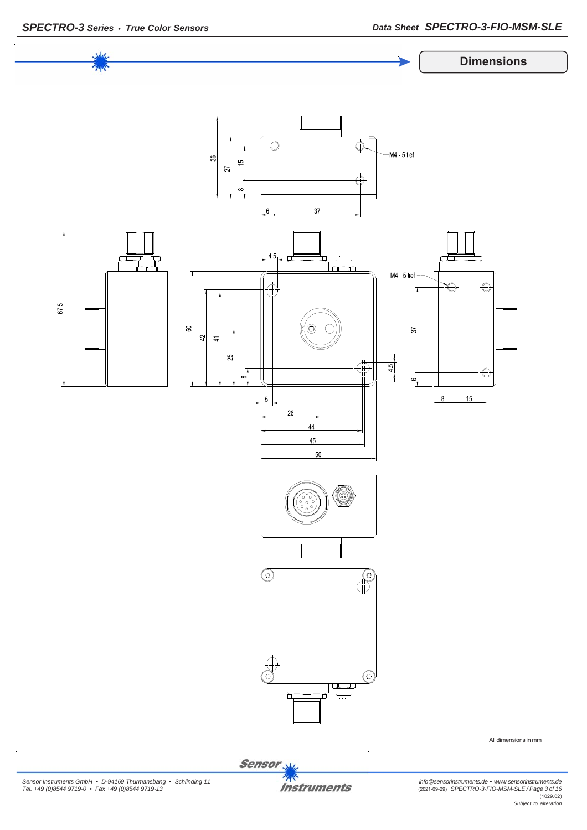

Sensor<sub>N</sub>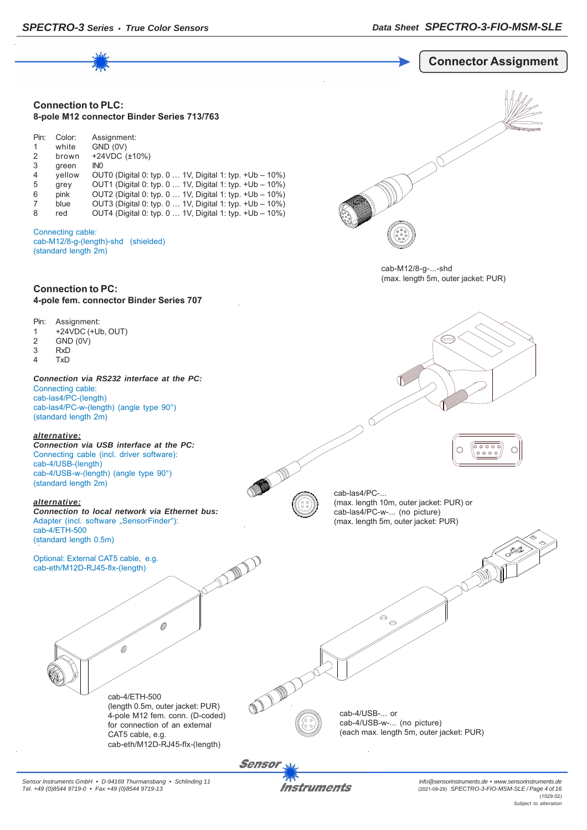

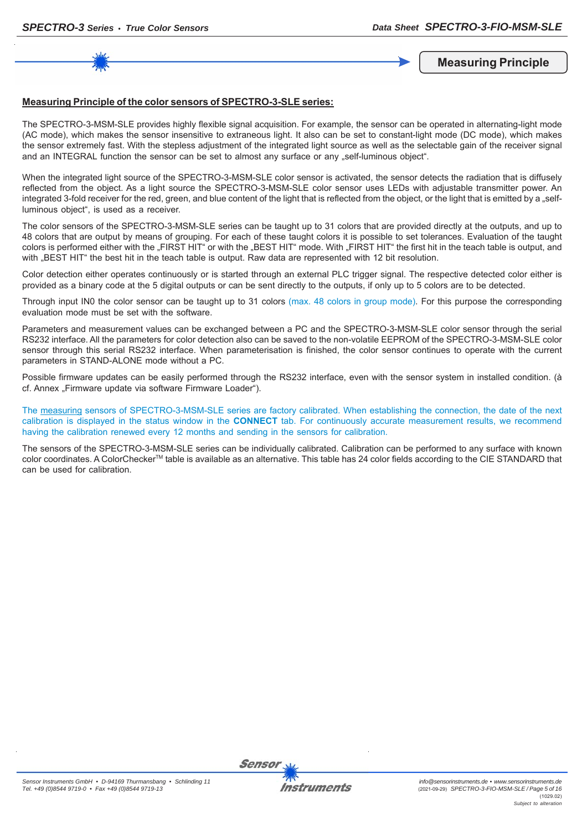**Measuring Principle**

#### **Measuring Principle of the color sensors of SPECTRO-3-SLE series:**

The SPECTRO-3-MSM-SLE provides highly flexible signal acquisition. For example, the sensor can be operated in alternating-light mode (AC mode), which makes the sensor insensitive to extraneous light. It also can be set to constant-light mode (DC mode), which makes the sensor extremely fast. With the stepless adjustment of the integrated light source as well as the selectable gain of the receiver signal and an INTEGRAL function the sensor can be set to almost any surface or any "self-luminous object".

When the integrated light source of the SPECTRO-3-MSM-SLE color sensor is activated, the sensor detects the radiation that is diffusely reflected from the object. As a light source the SPECTRO-3-MSM-SLE color sensor uses LEDs with adjustable transmitter power. An integrated 3-fold receiver for the red, green, and blue content of the light that is reflected from the object, or the light that is emitted by a "selfluminous object", is used as a receiver.

The color sensors of the SPECTRO-3-MSM-SLE series can be taught up to 31 colors that are provided directly at the outputs, and up to 48 colors that are output by means of grouping. For each of these taught colors it is possible to set tolerances. Evaluation of the taught colors is performed either with the "FIRST HIT" or with the "BEST HIT" mode. With "FIRST HIT" the first hit in the teach table is output, and with "BEST HIT" the best hit in the teach table is output. Raw data are represented with 12 bit resolution.

Color detection either operates continuously or is started through an external PLC trigger signal. The respective detected color either is provided as a binary code at the 5 digital outputs or can be sent directly to the outputs, if only up to 5 colors are to be detected.

Through input IN0 the color sensor can be taught up to 31 colors (max. 48 colors in group mode). For this purpose the corresponding evaluation mode must be set with the software.

Parameters and measurement values can be exchanged between a PC and the SPECTRO-3-MSM-SLE color sensor through the serial RS232 interface. All the parameters for color detection also can be saved to the non-volatile EEPROM of the SPECTRO-3-MSM-SLE color sensor through this serial RS232 interface. When parameterisation is finished, the color sensor continues to operate with the current parameters in STAND-ALONE mode without a PC.

Possible firmware updates can be easily performed through the RS232 interface, even with the sensor system in installed condition. (à cf. Annex Firmware update via software Firmware Loader").

The measuring sensors of SPECTRO-3-MSM-SLE series are factory calibrated. When establishing the connection, the date of the next calibration is displayed in the status window in the **CONNECT** tab. For continuously accurate measurement results, we recommend having the calibration renewed every 12 months and sending in the sensors for calibration.

The sensors of the SPECTRO-3-MSM-SLE series can be individually calibrated. Calibration can be performed to any surface with known color coordinates. A ColorCheckerTM table is available as an alternative. This table has 24 color fields according to the CIE STANDARD that can be used for calibration.





Sensor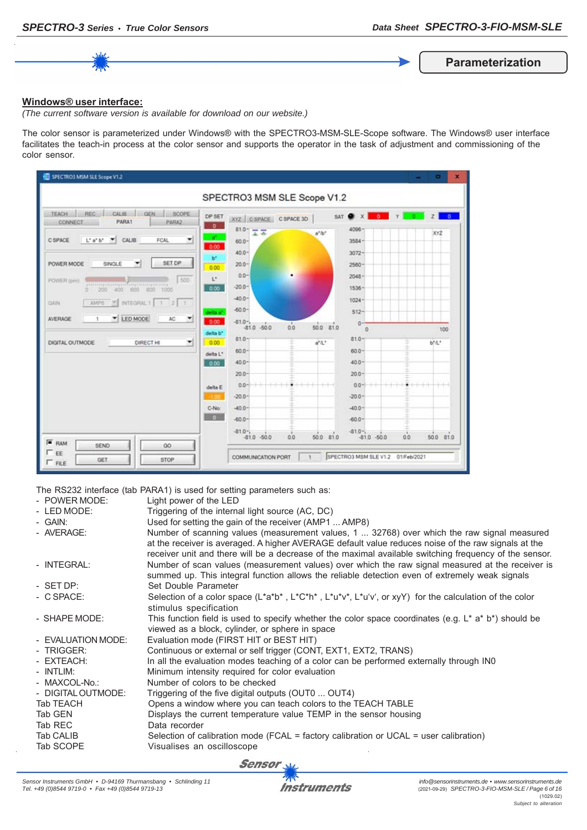**Parameterization**

#### **Windows® user interface:**

*(The current software version is available for download on our website.)*

The color sensor is parameterized under Windows® with the SPECTRO3-MSM-SLE-Scope software. The Windows® user interface facilitates the teach-in process at the color sensor and supports the operator in the task of adjustment and commissioning of the color sensor.



The RS232 interface (tab PARA1) is used for setting parameters such as:

|                    | The Report interiged from the city to good for botting parameters sach go.                                                                                                                                                                                                                                   |
|--------------------|--------------------------------------------------------------------------------------------------------------------------------------------------------------------------------------------------------------------------------------------------------------------------------------------------------------|
| - POWER MODE:      | Light power of the LED                                                                                                                                                                                                                                                                                       |
| - LED MODE:        | Triggering of the internal light source (AC, DC)                                                                                                                                                                                                                                                             |
| - GAIN:            | Used for setting the gain of the receiver (AMP1  AMP8)                                                                                                                                                                                                                                                       |
| - AVERAGE:         | Number of scanning values (measurement values, 1  32768) over which the raw signal measured<br>at the receiver is averaged. A higher AVERAGE default value reduces noise of the raw signals at the<br>receiver unit and there will be a decrease of the maximal available switching frequency of the sensor. |
| - INTEGRAL:        | Number of scan values (measurement values) over which the raw signal measured at the receiver is<br>summed up. This integral function allows the reliable detection even of extremely weak signals                                                                                                           |
| - SET DP:          | Set Double Parameter                                                                                                                                                                                                                                                                                         |
| - C SPACE:         | Selection of a color space ( $L^*a^*b^*$ , $L^*c^*h^*$ , $L^*u^*v^*$ , $L^*u^*v^*$ , or xyY) for the calculation of the color<br>stimulus specification                                                                                                                                                      |
| - SHAPE MODE:      | This function field is used to specify whether the color space coordinates (e.g. $L^*$ a* b*) should be<br>viewed as a block, cylinder, or sphere in space                                                                                                                                                   |
| - EVALUATION MODE: | Evaluation mode (FIRST HIT or BEST HIT)                                                                                                                                                                                                                                                                      |
| - TRIGGER:         | Continuous or external or self trigger (CONT, EXT1, EXT2, TRANS)                                                                                                                                                                                                                                             |
| - EXTEACH:         | In all the evaluation modes teaching of a color can be performed externally through INO                                                                                                                                                                                                                      |
| - INTLIM:          | Minimum intensity required for color evaluation                                                                                                                                                                                                                                                              |
| - MAXCOL-No.:      | Number of colors to be checked                                                                                                                                                                                                                                                                               |
| - DIGITAL OUTMODE: | Triggering of the five digital outputs (OUT0  OUT4)                                                                                                                                                                                                                                                          |
| Tab TEACH          | Opens a window where you can teach colors to the TEACH TABLE                                                                                                                                                                                                                                                 |
| Tab GEN            | Displays the current temperature value TEMP in the sensor housing                                                                                                                                                                                                                                            |
| Tab REC            | Data recorder                                                                                                                                                                                                                                                                                                |
| Tab CALIB          | Selection of calibration mode (FCAL = factory calibration or UCAL = user calibration)                                                                                                                                                                                                                        |
| Tab SCOPE          | Visualises an oscilloscope                                                                                                                                                                                                                                                                                   |
|                    |                                                                                                                                                                                                                                                                                                              |

Sensor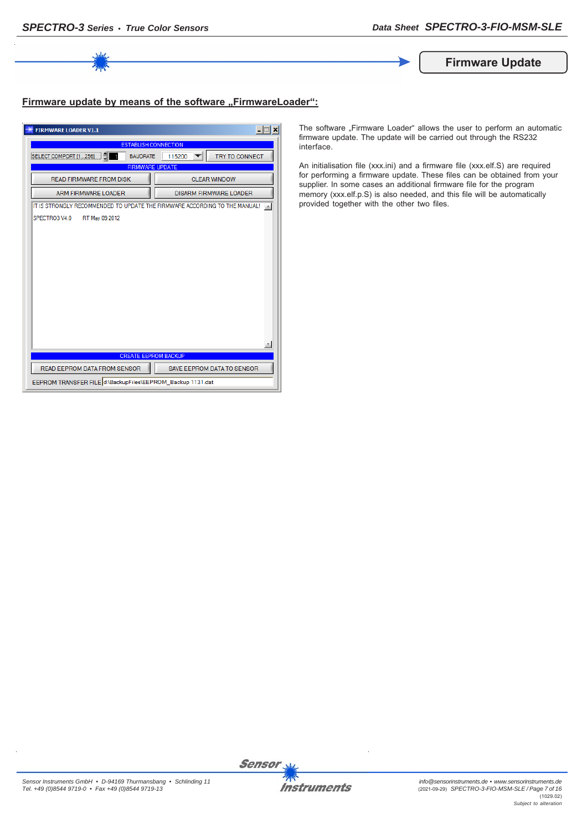

**Firmware Update**

#### **Firmware update by means of the software ..FirmwareLoader":**

| <b>FIRMWARE LOADER V1.1</b>                                                |                                   |  |  |  |
|----------------------------------------------------------------------------|-----------------------------------|--|--|--|
| <b>ESTABLISH CONNECTION</b>                                                |                                   |  |  |  |
| TRY TO CONNECT<br>SELECT COMPORT [1256]<br><b>BAUDRATE</b><br>115200       |                                   |  |  |  |
|                                                                            | <b>FIRMWARE UPDATE</b>            |  |  |  |
| <b>READ FIRMWARE FROM DISK</b>                                             | <b>CLEAR WINDOW</b>               |  |  |  |
| <b>ARM FIRMWARE LOADER</b>                                                 | <b>DISARM FIRMWARE LOADER</b>     |  |  |  |
| IT IS STRONGLY RECOMMENDED TO UPDATE THE FIRMWARE ACCORDING TO THE MANUAL! |                                   |  |  |  |
| SPECTRO3 V4.0<br>RT May 09 2012                                            |                                   |  |  |  |
|                                                                            |                                   |  |  |  |
|                                                                            |                                   |  |  |  |
|                                                                            |                                   |  |  |  |
|                                                                            |                                   |  |  |  |
|                                                                            |                                   |  |  |  |
|                                                                            |                                   |  |  |  |
|                                                                            |                                   |  |  |  |
|                                                                            |                                   |  |  |  |
|                                                                            |                                   |  |  |  |
|                                                                            |                                   |  |  |  |
|                                                                            |                                   |  |  |  |
| <b>CREATE EEPROM BACKUP</b>                                                |                                   |  |  |  |
| READ EEPROM DATA FROM SENSOR                                               | <b>SAVE EEPROM DATA TO SENSOR</b> |  |  |  |
| EEPROM TRANSFER FILE d:\BackupFiles\EEPROM_Backup 1131.dat                 |                                   |  |  |  |

The software "Firmware Loader" allows the user to perform an automatic firmware update. The update will be carried out through the RS232 interface.

An initialisation file (xxx.ini) and a firmware file (xxx.elf.S) are required for performing a firmware update. These files can be obtained from your supplier. In some cases an additional firmware file for the program memory (xxx.elf.p.S) is also needed, and this file will be automatically provided together with the other two files.



Sensor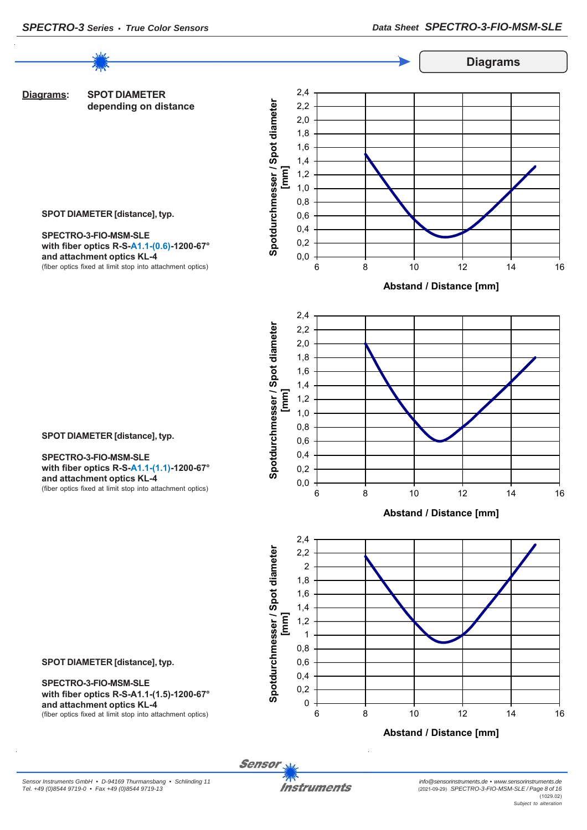

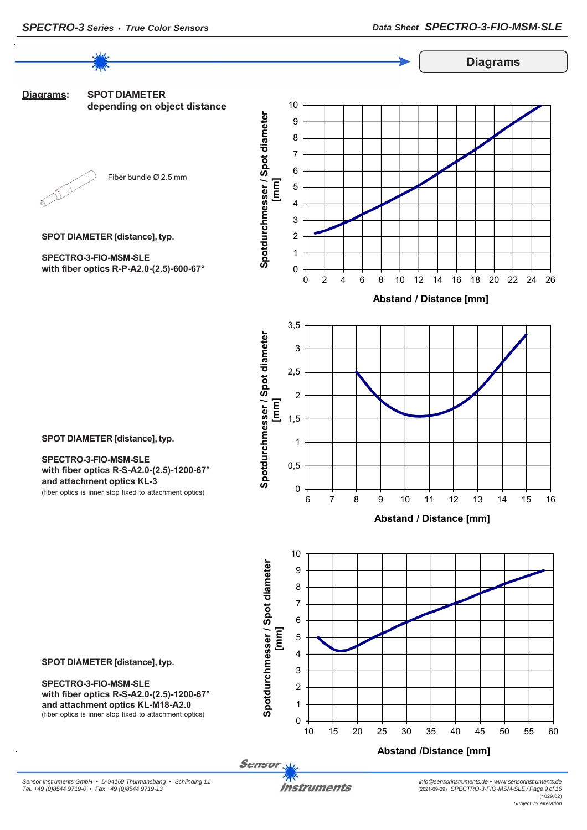**Diagrams**



**SPOT DIAMETER [distance], typ.**

**SPOT DIAMETER [distance], typ.**

**with fiber optics R-S-A2.0-(2.5)-1200-67°**

(fiber optics is inner stop fixed to attachment optics)

**SPECTRO-3-FIO-MSM-SLE**

**and attachment optics KL-3**

**with fiber optics R-P-A2.0-(2.5)-600-67°**

**SPECTRO-3-FIO-MSM-SLE**

**Diagrams: SPOT DIAMETER depending on object distance**



Fiber bundle Ø 2.5 mm

**Spotdurchmesser / Spot diameter** 

Spotdurchmesser / Spot diameter

 $\Omega$ 1 2 3 4 5 6 7 8 9 10 0 2 4 6 8 10 12 14 16 18 20 22 24 26 **[mm]** 

**Abstand / Distance [mm]**







**SPOT DIAMETER [distance], typ.**

**SPECTRO-3-FIO-MSM-SLE with fiber optics R-S-A2.0-(2.5)-1200-67° and attachment optics KL-M18-A2.0** (fiber optics is inner stop fixed to attachment optics)

Sensor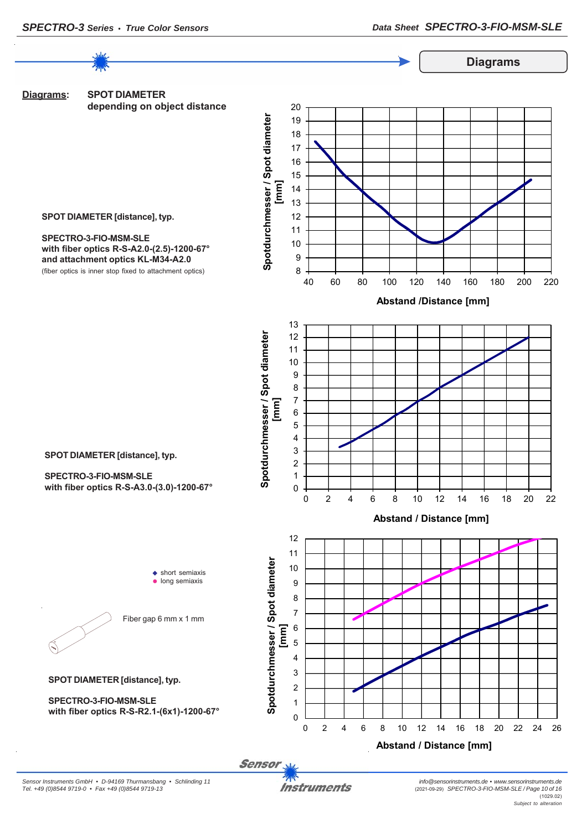

**Sensor**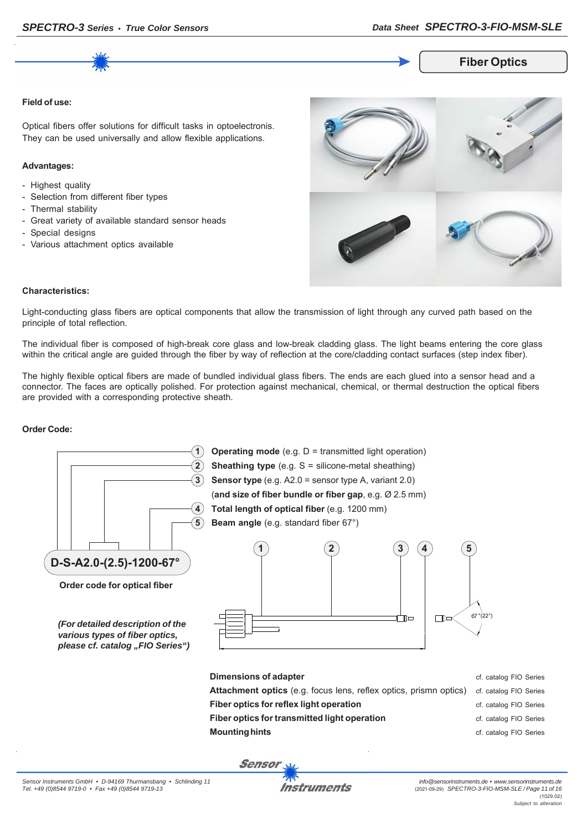**Fiber Optics**

#### **Field of use:**

Optical fibers offer solutions for difficult tasks in optoelectronis. They can be used universally and allow flexible applications.

#### **Advantages:**

- Highest quality
- Selection from different fiber types
- Thermal stability
- Great variety of available standard sensor heads
- Special designs
- Various attachment optics available



#### **Characteristics:**

Light-conducting glass fibers are optical components that allow the transmission of light through any curved path based on the principle of total reflection.

The individual fiber is composed of high-break core glass and low-break cladding glass. The light beams entering the core glass within the critical angle are guided through the fiber by way of reflection at the core/cladding contact surfaces (step index fiber).

The highly flexible optical fibers are made of bundled individual glass fibers. The ends are each glued into a sensor head and a connector. The faces are optically polished. For protection against mechanical, chemical, or thermal destruction the optical fibers are provided with a corresponding protective sheath.

#### **Order Code:**

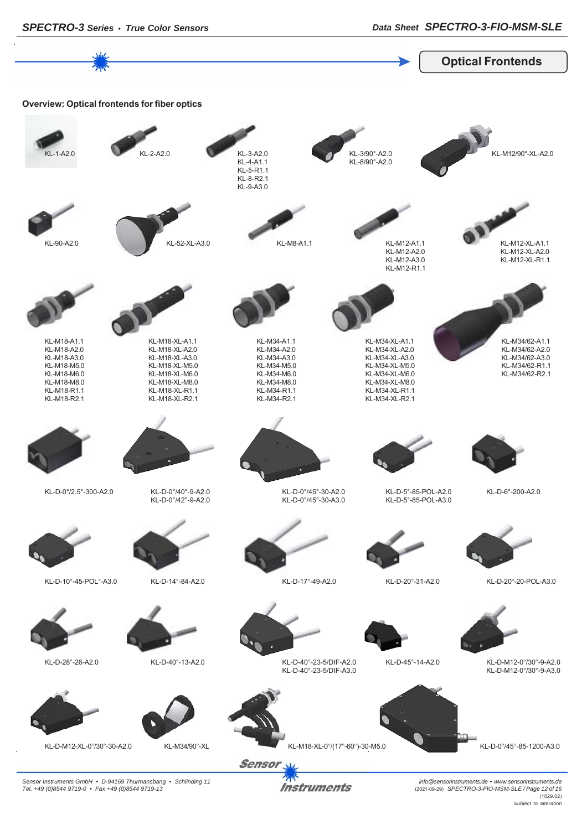*SPECTRO-3 Series • True Color Sensors Data Sheet SPECTRO-3-FIO-MSM-SLE*



*Instruments* 

*Sensor Instruments GmbH • D-94169 Thurmansbang • Schlinding 11 Tel. +49 (0)8544 9719-0 • Fax +49 (0)8544 9719-13*

*info@sensorinstruments.de • www.sensorinstruments.de* (2021-09-29) *SPECTRO-3-FIO-MSM-SLE / Page 12 of 16* (1029.02) *Subject to alteration*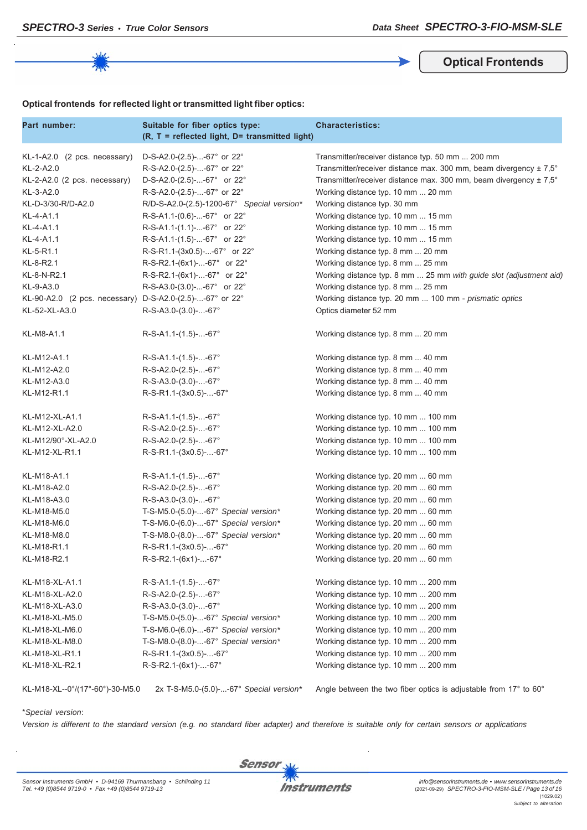**Optical Frontends**

#### **Optical frontends for reflected light or transmitted light fiber optics:**

| Part number:                                             | Suitable for fiber optics type:<br>(R, T = reflected light, D= transmitted light) | <b>Characteristics:</b>                                                      |
|----------------------------------------------------------|-----------------------------------------------------------------------------------|------------------------------------------------------------------------------|
| $KL-1-A2.0$ (2 pcs. necessary)                           | D-S-A2.0-(2.5)--67° or 22°                                                        | Transmitter/receiver distance typ. 50 mm  200 mm                             |
| KL-2-A2.0                                                | R-S-A2.0-(2.5)--67° or 22°                                                        | Transmitter/receiver distance max. 300 mm, beam divergency $\pm 7.5^{\circ}$ |
| KL-2-A2.0 (2 pcs. necessary)                             | D-S-A2.0-(2.5)--67° or 22°                                                        | Transmitter/receiver distance max. 300 mm, beam divergency ± 7,5°            |
| KL-3-A2.0                                                | R-S-A2.0-(2.5)--67° or 22°                                                        | Working distance typ. 10 mm  20 mm                                           |
| KL-D-3/30-R/D-A2.0                                       | R/D-S-A2.0-(2.5)-1200-67° Special version*                                        | Working distance typ. 30 mm                                                  |
| KL-4-A1.1                                                | R-S-A1.1-(0.6)--67° or 22°                                                        | Working distance typ. 10 mm  15 mm                                           |
| KL-4-A1.1                                                | R-S-A1.1-(1.1)--67° or 22°                                                        | Working distance typ. 10 mm  15 mm                                           |
| KL-4-A1.1                                                | R-S-A1.1-(1.5)--67° or 22°                                                        | Working distance typ. 10 mm  15 mm                                           |
| KL-5-R1.1                                                | R-S-R1.1-(3x0.5)--67° or 22°                                                      | Working distance typ. 8 mm  20 mm                                            |
| KL-8-R2.1                                                | R-S-R2.1-(6x1)--67° or 22°                                                        | Working distance typ. 8 mm  25 mm                                            |
| KL-8-N-R2.1                                              | R-S-R2.1-(6x1)--67° or 22°                                                        | Working distance typ. 8 mm  25 mm with guide slot (adjustment aid)           |
| KL-9-A3.0                                                | R-S-A3.0-(3.0)--67° or 22°                                                        | Working distance typ. 8 mm  25 mm                                            |
| KL-90-A2.0 (2 pcs. necessary) D-S-A2.0-(2.5)--67° or 22° |                                                                                   | Working distance typ. 20 mm  100 mm - prismatic optics                       |
| KL-52-XL-A3.0                                            | $R-S-A3.0-(3.0)$ --67°                                                            | Optics diameter 52 mm                                                        |
| KL-M8-A1.1                                               | $R-S-A1.1-(1.5)--67°$                                                             | Working distance typ. 8 mm  20 mm                                            |
| KL-M12-A1.1                                              | $R-S-A1.1-(1.5)$ --67°                                                            | Working distance typ. 8 mm  40 mm                                            |
| KL-M12-A2.0                                              | R-S-A2.0-(2.5)--67°                                                               | Working distance typ. 8 mm  40 mm                                            |
| KL-M12-A3.0                                              | R-S-A3.0-(3.0)--67°                                                               | Working distance typ. 8 mm  40 mm                                            |
| KL-M12-R1.1                                              | R-S-R1.1-(3x0.5)--67°                                                             | Working distance typ. 8 mm  40 mm                                            |
| KL-M12-XL-A1.1                                           | $R-S-A1.1-(1.5)$ --67°                                                            | Working distance typ. 10 mm  100 mm                                          |
| KL-M12-XL-A2.0                                           | R-S-A2.0-(2.5)--67°                                                               | Working distance typ. 10 mm  100 mm                                          |
| KL-M12/90°-XL-A2.0                                       | R-S-A2.0-(2.5)--67°                                                               | Working distance typ. 10 mm  100 mm                                          |
| KL-M12-XL-R1.1                                           | R-S-R1.1-(3x0.5)--67°                                                             | Working distance typ. 10 mm  100 mm                                          |
| KL-M18-A1.1                                              | $R-S-A1.1-(1.5)$ --67°                                                            | Working distance typ. 20 mm  60 mm                                           |
| KL-M18-A2.0                                              | R-S-A2.0-(2.5)--67°                                                               | Working distance typ. 20 mm  60 mm                                           |
| KL-M18-A3.0                                              | R-S-A3.0-(3.0)--67°                                                               | Working distance typ. 20 mm  60 mm                                           |
| KL-M18-M5.0                                              | T-S-M5.0-(5.0)--67° Special version*                                              | Working distance typ. 20 mm  60 mm                                           |
| KL-M18-M6.0                                              | T-S-M6.0- $(6.0)$ --67° Special version*                                          | Working distance typ. 20 mm  60 mm                                           |
| KL-M18-M8.0                                              | T-S-M8.0-(8.0)--67° Special version*                                              | Working distance typ. 20 mm  60 mm                                           |
| KL-M18-R1.1                                              | R-S-R1.1-(3x0.5)--67°                                                             | Working distance typ. 20 mm  60 mm                                           |
| KL-M18-R2.1                                              | R-S-R2.1-(6x1)--67°                                                               | Working distance typ. 20 mm  60 mm                                           |
| KL-M18-XL-A1.1                                           | R-S-A1.1-(1.5)--67°                                                               | Working distance typ. 10 mm  200 mm                                          |
| KL-M18-XL-A2.0                                           | R-S-A2.0-(2.5)--67°                                                               | Working distance typ. 10 mm  200 mm                                          |
| KL-M18-XL-A3.0                                           | R-S-A3.0-(3.0)--67°                                                               | Working distance typ. 10 mm  200 mm                                          |
| KL-M18-XL-M5.0                                           | T-S-M5.0-(5.0)--67° Special version*                                              | Working distance typ. 10 mm  200 mm                                          |
| KL-M18-XL-M6.0                                           | T-S-M6.0-(6.0)--67° Special version*                                              | Working distance typ. 10 mm  200 mm                                          |
| KL-M18-XL-M8.0                                           | T-S-M8.0-(8.0)--67° Special version*                                              | Working distance typ. 10 mm  200 mm                                          |
| KL-M18-XL-R1.1                                           | R-S-R1.1-(3x0.5)--67°                                                             | Working distance typ. 10 mm  200 mm                                          |
| KL-M18-XL-R2.1                                           | R-S-R2.1-(6x1)--67°                                                               | Working distance typ. 10 mm  200 mm                                          |

KL-M18-XL--0°/(17°-60°)-30-M5.0 2x T-S-M5.0-(5.0)-...-67° *Special version\** Angle between the two fiber optics is adjustable from 17° to 60°

#### \**Special version*:

*Version is different to the standard version (e.g. no standard fiber adapter) and therefore is suitable only for certain sensors or applications*

**Sensor**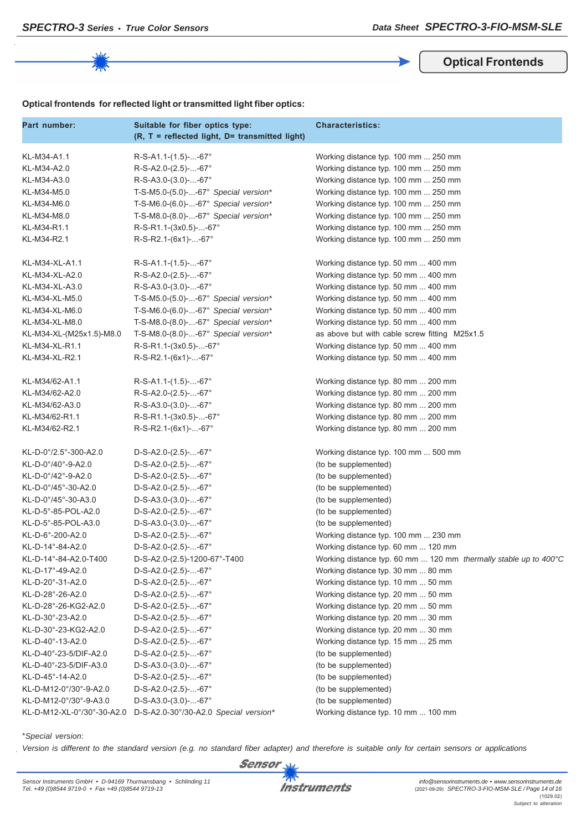**Optical Frontends**

|  | Optical frontends for reflected light or transmitted light fiber optics: |  |  |  |  |  |
|--|--------------------------------------------------------------------------|--|--|--|--|--|
|--|--------------------------------------------------------------------------|--|--|--|--|--|

| Part number:               | Suitable for fiber optics type:<br>(R, T = reflected light, D= transmitted light) | <b>Characteristics:</b>                                          |
|----------------------------|-----------------------------------------------------------------------------------|------------------------------------------------------------------|
| KL-M34-A1.1                | $R-S-A1.1-(1.5)$ --67°                                                            | Working distance typ. 100 mm  250 mm                             |
| KL-M34-A2.0                | R-S-A2.0-(2.5)--67°                                                               | Working distance typ. 100 mm  250 mm                             |
| KL-M34-A3.0                | $R-S-A3.0-(3.0)$ --67°                                                            | Working distance typ. 100 mm  250 mm                             |
| KL-M34-M5.0                | T-S-M5.0-(5.0)--67° Special version*                                              | Working distance typ. 100 mm  250 mm                             |
| KL-M34-M6.0                | T-S-M6.0-(6.0)--67° Special version*                                              | Working distance typ. 100 mm  250 mm                             |
| KL-M34-M8.0                | T-S-M8.0-(8.0)--67° Special version*                                              | Working distance typ. 100 mm  250 mm                             |
| KL-M34-R1.1                | R-S-R1.1-(3x0.5)--67°                                                             | Working distance typ. 100 mm  250 mm                             |
| KL-M34-R2.1                | $R-S-R2.1-(6x1)-67°$                                                              | Working distance typ. 100 mm  250 mm                             |
| KL-M34-XL-A1.1             | $R-S-A1.1-(1.5)$ --67°                                                            | Working distance typ. 50 mm  400 mm                              |
| KL-M34-XL-A2.0             | R-S-A2.0-(2.5)--67°                                                               | Working distance typ. 50 mm  400 mm                              |
| KL-M34-XL-A3.0             | $R-S-A3.0-(3.0)$ --67°                                                            | Working distance typ. 50 mm  400 mm                              |
| KL-M34-XL-M5.0             | T-S-M5.0- $(5.0)$ --67° Special version*                                          | Working distance typ. 50 mm  400 mm                              |
| KL-M34-XL-M6.0             | T-S-M6.0-(6.0)--67° Special version*                                              | Working distance typ. 50 mm  400 mm                              |
| KL-M34-XL-M8.0             | T-S-M8.0-(8.0)--67° Special version*                                              | Working distance typ. 50 mm  400 mm                              |
| KL-M34-XL-(M25x1.5)-M8.0   | T-S-M8.0-(8.0)--67° Special version*                                              | as above but with cable screw fitting M25x1.5                    |
| KL-M34-XL-R1.1             | R-S-R1.1-(3x0.5)--67°                                                             | Working distance typ. 50 mm  400 mm                              |
| KL-M34-XL-R2.1             | $R-S-R2.1-(6x1)-67°$                                                              | Working distance typ. 50 mm  400 mm                              |
| KL-M34/62-A1.1             | $R-S-A1.1-(1.5)$ --67°                                                            | Working distance typ. 80 mm  200 mm                              |
| KL-M34/62-A2.0             | R-S-A2.0-(2.5)--67°                                                               | Working distance typ. 80 mm  200 mm                              |
| KL-M34/62-A3.0             | R-S-A3.0-(3.0)--67°                                                               | Working distance typ. 80 mm  200 mm                              |
| KL-M34/62-R1.1             | R-S-R1.1-(3x0.5)--67°                                                             | Working distance typ. 80 mm  200 mm                              |
| KL-M34/62-R2.1             | $R-S-R2.1-(6x1)-67°$                                                              | Working distance typ. 80 mm  200 mm                              |
| KL-D-0°/2.5°-300-A2.0      | $D-S-A2.0-(2.5)$ --67°                                                            | Working distance typ. 100 mm  500 mm                             |
| KL-D-0°/40°-9-A2.0         | $D-S-A2.0-(2.5)$ --67°                                                            | (to be supplemented)                                             |
| KL-D-0°/42°-9-A2.0         | $D-S-A2.0-(2.5)$ --67°                                                            | (to be supplemented)                                             |
| KL-D-0°/45°-30-A2.0        | $D-S-A2.0-(2.5)$ --67°                                                            | (to be supplemented)                                             |
| KL-D-0°/45°-30-A3.0        | $D-S-A3.0-(3.0)$ --67°                                                            | (to be supplemented)                                             |
| KL-D-5°-85-POL-A2.0        | $D-S-A2.0-(2.5)$ --67°                                                            | (to be supplemented)                                             |
| KL-D-5°-85-POL-A3.0        | $D-S-A3.0-(3.0)$ --67°                                                            | (to be supplemented)                                             |
| KL-D-6°-200-A2.0           | $D-S-A2.0-(2.5)$ --67°                                                            | Working distance typ. 100 mm  230 mm                             |
| KL-D-14°-84-A2.0           | $D-S-A2.0-(2.5)$ --67°                                                            | Working distance typ. 60 mm  120 mm                              |
| KL-D-14°-84-A2.0-T400      | D-S-A2.0-(2.5)-1200-67°-T400                                                      | Working distance typ. 60 mm  120 mm thermally stable up to 400°C |
| KL-D-17°-49-A2.0           | $D-S-A2.0-(2.5)$ --67°                                                            | Working distance typ. 30 mm  80 mm                               |
| KL-D-20°-31-A2.0           | $D-S-A2.0-(2.5)$ --67°                                                            | Working distance typ. 10 mm  50 mm                               |
| KL-D-28°-26-A2.0           | D-S-A2.0-(2.5)--67°                                                               | Working distance typ. 20 mm  50 mm                               |
| KL-D-28°-26-KG2-A2.0       | $D-S-A2.0-(2.5)$ --67°                                                            | Working distance typ. 20 mm  50 mm                               |
| KL-D-30°-23-A2.0           | $D-S-A2.0-(2.5)$ --67°                                                            | Working distance typ. 20 mm  30 mm                               |
| KL-D-30°-23-KG2-A2.0       | $D-S-A2.0-(2.5)$ --67°                                                            | Working distance typ. 20 mm  30 mm                               |
| KL-D-40°-13-A2.0           | $D-S-A2.0-(2.5)$ --67°                                                            | Working distance typ. 15 mm  25 mm                               |
| KL-D-40°-23-5/DIF-A2.0     | $D-S-A2.0-(2.5)$ --67°                                                            | (to be supplemented)                                             |
| KL-D-40°-23-5/DIF-A3.0     | $D-S-A3.0-(3.0)$ --67°                                                            | (to be supplemented)                                             |
| KL-D-45°-14-A2.0           | $D-S-A2.0-(2.5)$ --67°                                                            | (to be supplemented)                                             |
| KL-D-M12-0°/30°-9-A2.0     | $D-S-A2.0-(2.5)$ --67°                                                            | (to be supplemented)                                             |
| KL-D-M12-0°/30°-9-A3.0     | $D-S-A3.0-(3.0)$ --67°                                                            | (to be supplemented)                                             |
| KL-D-M12-XL-0°/30°-30-A2.0 | D-S-A2.0-30°/30-A2.0 Special version*                                             | Working distance typ. 10 mm  100 mm                              |

\**Special version*:

*Version is different to the standard version (e.g. no standard fiber adapter) and therefore is suitable only for certain sensors or applications*



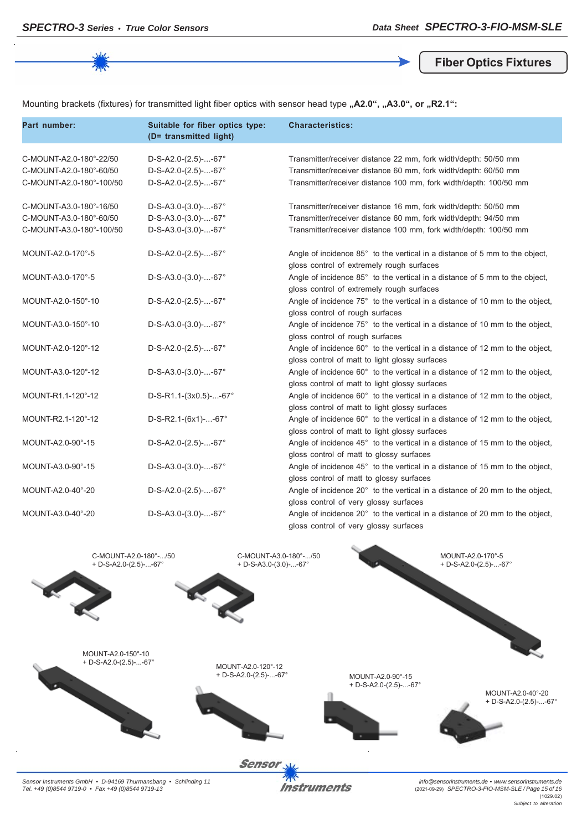**Fiber Optics Fixtures**

Mounting brackets (fixtures) for transmitted light fiber optics with sensor head type "A2.0", "A3.0", or "R2.1":

| Part number:                                                                   | Suitable for fiber optics type:<br>(D= transmitted light)                  | <b>Characteristics:</b>                                                                                                                                                                                 |
|--------------------------------------------------------------------------------|----------------------------------------------------------------------------|---------------------------------------------------------------------------------------------------------------------------------------------------------------------------------------------------------|
| C-MOUNT-A2.0-180°-22/50<br>C-MOUNT-A2.0-180°-60/50<br>C-MOUNT-A2.0-180°-100/50 | D-S-A2.0-(2.5)--67°<br>$D-S-A2.0-(2.5)$ --67°<br>$D-S-A2.0-(2.5)$ --67°    | Transmitter/receiver distance 22 mm, fork width/depth: 50/50 mm<br>Transmitter/receiver distance 60 mm, fork width/depth: 60/50 mm<br>Transmitter/receiver distance 100 mm, fork width/depth: 100/50 mm |
| C-MOUNT-A3.0-180°-16/50<br>C-MOUNT-A3.0-180°-60/50<br>C-MOUNT-A3.0-180°-100/50 | $D-S-A3.0-(3.0)$ --67°<br>$D-S-A3.0-(3.0)$ --67°<br>$D-S-A3.0-(3.0)$ --67° | Transmitter/receiver distance 16 mm, fork width/depth: 50/50 mm<br>Transmitter/receiver distance 60 mm, fork width/depth: 94/50 mm<br>Transmitter/receiver distance 100 mm, fork width/depth: 100/50 mm |
| MOUNT-A2.0-170°-5                                                              | $D-S-A2.0-(2.5)$ --67°                                                     | Angle of incidence 85° to the vertical in a distance of 5 mm to the object,<br>gloss control of extremely rough surfaces                                                                                |
| MOUNT-A3.0-170°-5                                                              | $D-S-A3.0-(3.0)$ --67°                                                     | Angle of incidence 85° to the vertical in a distance of 5 mm to the object,<br>gloss control of extremely rough surfaces                                                                                |
| MOUNT-A2.0-150°-10                                                             | $D-S-A2.0-(2.5)$ --67°                                                     | Angle of incidence 75° to the vertical in a distance of 10 mm to the object,<br>gloss control of rough surfaces                                                                                         |
| MOUNT-A3.0-150°-10                                                             | $D-S-A3.0-(3.0)$ --67°                                                     | Angle of incidence 75° to the vertical in a distance of 10 mm to the object,<br>gloss control of rough surfaces                                                                                         |
| MOUNT-A2.0-120°-12                                                             | $D-S-A2.0-(2.5)$ --67°                                                     | Angle of incidence 60° to the vertical in a distance of 12 mm to the object,<br>gloss control of matt to light glossy surfaces                                                                          |
| MOUNT-A3.0-120°-12                                                             | $D-S-A3.0-(3.0)$ --67°                                                     | Angle of incidence 60° to the vertical in a distance of 12 mm to the object,<br>gloss control of matt to light glossy surfaces                                                                          |
| MOUNT-R1.1-120°-12                                                             | $D-S-R1.1-(3x0.5)--67^{\circ}$                                             | Angle of incidence 60° to the vertical in a distance of 12 mm to the object,<br>gloss control of matt to light glossy surfaces                                                                          |
| MOUNT-R2.1-120°-12                                                             | $D-S-R2.1-(6x1)--67^{\circ}$                                               | Angle of incidence 60° to the vertical in a distance of 12 mm to the object,<br>gloss control of matt to light glossy surfaces                                                                          |
| MOUNT-A2.0-90°-15                                                              | $D-S-A2.0-(2.5)--67^{\circ}$                                               | Angle of incidence 45° to the vertical in a distance of 15 mm to the object,<br>gloss control of matt to glossy surfaces                                                                                |
| MOUNT-A3.0-90°-15                                                              | $D-S-A3.0-(3.0)$ --67°                                                     | Angle of incidence 45° to the vertical in a distance of 15 mm to the object,<br>gloss control of matt to glossy surfaces                                                                                |
| MOUNT-A2.0-40°-20                                                              | $D-S-A2.0-(2.5)$ --67°                                                     | Angle of incidence 20° to the vertical in a distance of 20 mm to the object,<br>gloss control of very glossy surfaces                                                                                   |
| MOUNT-A3.0-40°-20                                                              | $D-S-A3.0-(3.0)$ --67°                                                     | Angle of incidence 20° to the vertical in a distance of 20 mm to the object,<br>gloss control of very glossy surfaces                                                                                   |



*Sensor Instruments GmbH • D-94169 Thurmansbang • Schlinding 11 Tel. +49 (0)8544 9719-0 • Fax +49 (0)8544 9719-13*

**Instruments** 

*info@sensorinstruments.de • www.sensorinstruments.de* (2021-09-29) *SPECTRO-3-FIO-MSM-SLE / Page 15 of 16* (1029.02) *Subject to alteration*